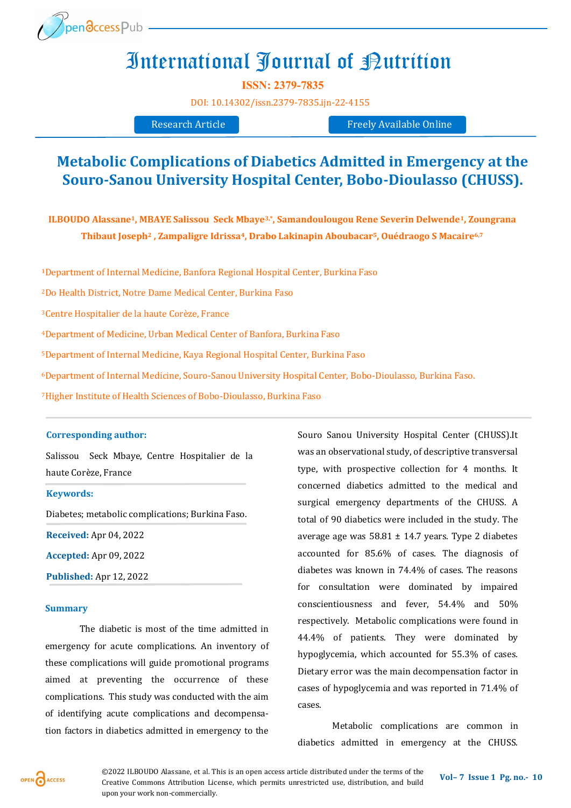

## International Journal of Putrition

**ISSN: 2379-7835**

[DOI:](https://doi.org/10.14302/issn.2639-3166.jar-21-3872) [10.14302/issn.2379](https://doi.org/10.14302/issn.2379-7835.ijn-22-4155)-7835.ijn-22-4155

Research Article Freely Available Online

### **Metabolic Complications of Diabetics Admitted in Emergency at the Souro-Sanou University Hospital Center, Bobo-Dioulasso (CHUSS).**

**ILBOUDO Alassane1, MBAYE Salissou Seck Mbaye3,\*, Samandoulougou Rene Severin Delwende1, Zoungrana Thibaut Joseph<sup>2</sup> , Zampaligre Idrissa4, Drabo Lakinapin Aboubacar5, Ouédraogo S Macaire6,7**

<sup>1</sup>Department of Internal Medicine, Banfora Regional Hospital Center, Burkina Faso

<sup>2</sup>Do Health District, Notre Dame Medical Center, Burkina Faso

<sup>3</sup>Centre Hospitalier de la haute Corèze, France

<sup>4</sup>Department of Medicine, Urban Medical Center of Banfora, Burkina Faso

<sup>5</sup>Department of Internal Medicine, Kaya Regional Hospital Center, Burkina Faso

<sup>6</sup>Department of Internal Medicine, Souro-Sanou University Hospital Center, Bobo-Dioulasso, Burkina Faso.

<sup>7</sup>Higher Institute of Health Sciences of Bobo-Dioulasso, Burkina Faso

#### **Corresponding author:**

Salissou Seck Mbaye, Centre Hospitalier de la haute Corèze, France

#### **Keywords:**

Diabetes; metabolic complications; Burkina Faso.

**Received:** Apr 04, 2022

**Accepted:** Apr 09, 2022

**Published:** Apr 12, 2022

#### **Summary**

The diabetic is most of the time admitted in emergency for acute complications. An inventory of these complications will guide promotional programs aimed at preventing the occurrence of these complications. This study was conducted with the aim of identifying acute complications and decompensation factors in diabetics admitted in emergency to the Souro Sanou University Hospital Center (CHUSS).It was an observational study, of descriptive transversal type, with prospective collection for 4 months. It concerned diabetics admitted to the medical and surgical emergency departments of the CHUSS. A total of 90 diabetics were included in the study. The average age was 58.81 ± 14.7 years. Type 2 diabetes accounted for 85.6% of cases. The diagnosis of diabetes was known in 74.4% of cases. The reasons for consultation were dominated by impaired conscientiousness and fever, 54.4% and 50% respectively. Metabolic complications were found in 44.4% of patients. They were dominated by hypoglycemia, which accounted for 55.3% of cases. Dietary error was the main decompensation factor in cases of hypoglycemia and was reported in 71.4% of cases.

Metabolic complications are common in diabetics admitted in emergency at the CHUSS.

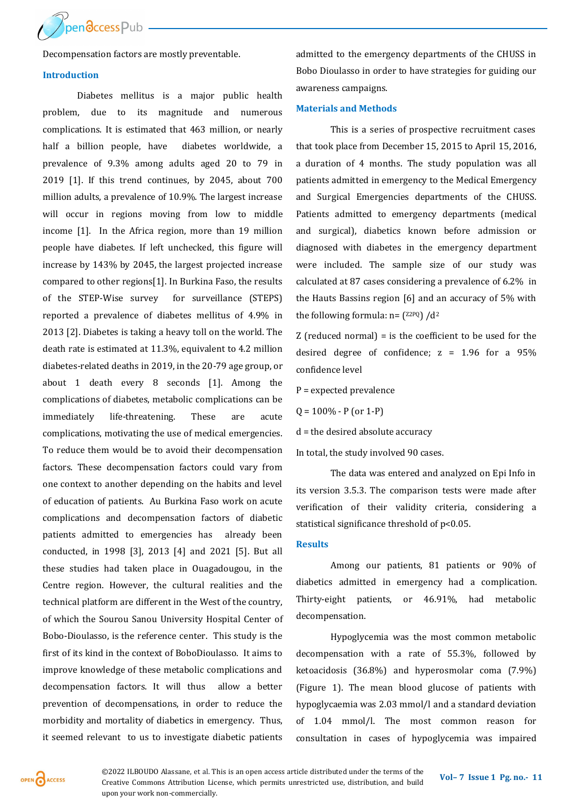

Decompensation factors are mostly preventable.

#### **Introduction**

Diabetes mellitus is a major public health problem, due to its magnitude and numerous complications. It is estimated that 463 million, or nearly half a billion people, have diabetes worldwide, a prevalence of 9.3% among adults aged 20 to 79 in 2019 [1]. If this trend continues, by 2045, about 700 million adults, a prevalence of 10.9%. The largest increase will occur in regions moving from low to middle income [1]. In the Africa region, more than 19 million people have diabetes. If left unchecked, this figure will increase by 143% by 2045, the largest projected increase compared to other regions[1]. In Burkina Faso, the results of the STEP-Wise survey for surveillance (STEPS) reported a prevalence of diabetes mellitus of 4.9% in 2013 [2]. Diabetes is taking a heavy toll on the world. The death rate is estimated at 11.3%, equivalent to 4.2 million diabetes-related deaths in 2019, in the 20-79 age group, or about 1 death every 8 seconds [1]. Among the complications of diabetes, metabolic complications can be immediately life-threatening. These are acute complications, motivating the use of medical emergencies. To reduce them would be to avoid their decompensation factors. These decompensation factors could vary from one context to another depending on the habits and level of education of patients. Au Burkina Faso work on acute complications and decompensation factors of diabetic patients admitted to emergencies has already been conducted, in 1998 [3], 2013 [4] and 2021 [5]. But all these studies had taken place in Ouagadougou, in the Centre region. However, the cultural realities and the technical platform are different in the West of the country, of which the Sourou Sanou University Hospital Center of Bobo-Dioulasso, is the reference center. This study is the first of its kind in the context of BoboDioulasso. It aims to improve knowledge of these metabolic complications and decompensation factors. It will thus allow a better prevention of decompensations, in order to reduce the morbidity and mortality of diabetics in emergency. Thus, it seemed relevant to us to investigate diabetic patients

admitted to the emergency departments of the CHUSS in Bobo Dioulasso in order to have strategies for guiding our awareness campaigns.

#### **Materials and Methods**

This is a series of prospective recruitment cases that took place from December 15, 2015 to April 15, 2016, a duration of 4 months. The study population was all patients admitted in emergency to the Medical Emergency and Surgical Emergencies departments of the CHUSS. Patients admitted to emergency departments (medical and surgical), diabetics known before admission or diagnosed with diabetes in the emergency department were included. The sample size of our study was calculated at 87 cases considering a prevalence of 6.2% in the Hauts Bassins region [6] and an accuracy of 5% with the following formula:  $n = \binom{Z2PQ}{d^2}$ 

Z (reduced normal) = is the coefficient to be used for the desired degree of confidence;  $z = 1.96$  for a  $95\%$ confidence level

P = expected prevalence

 $Q = 100\% - P$  (or 1-P)

d = the desired absolute accuracy

In total, the study involved 90 cases.

The data was entered and analyzed on Epi Info in its version 3.5.3. The comparison tests were made after verification of their validity criteria, considering a statistical significance threshold of p<0.05.

#### **Results**

Among our patients, 81 patients or 90% of diabetics admitted in emergency had a complication. Thirty-eight patients, or 46.91%, had metabolic decompensation.

Hypoglycemia was the most common metabolic decompensation with a rate of 55.3%, followed by ketoacidosis (36.8%) and hyperosmolar coma (7.9%) (Figure 1). The mean blood glucose of patients with hypoglycaemia was 2.03 mmol/l and a standard deviation of 1.04 mmol/l. The most common reason for consultation in cases of hypoglycemia was impaired

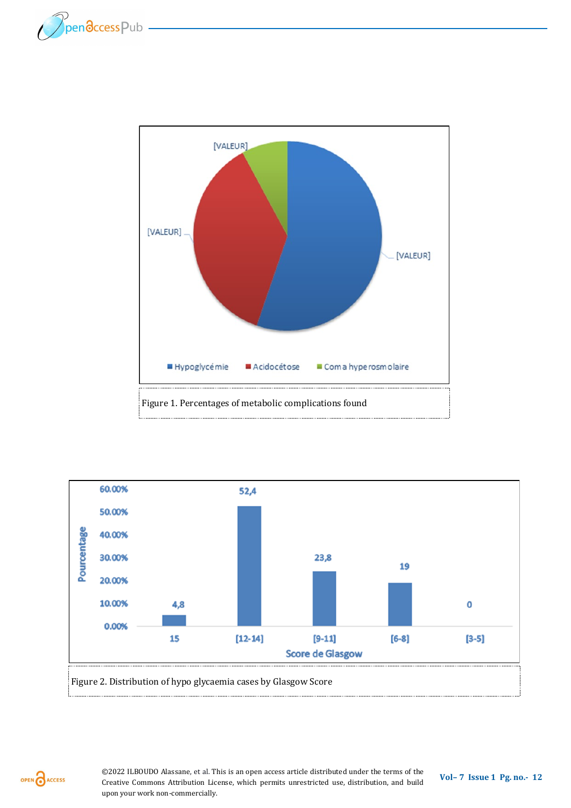





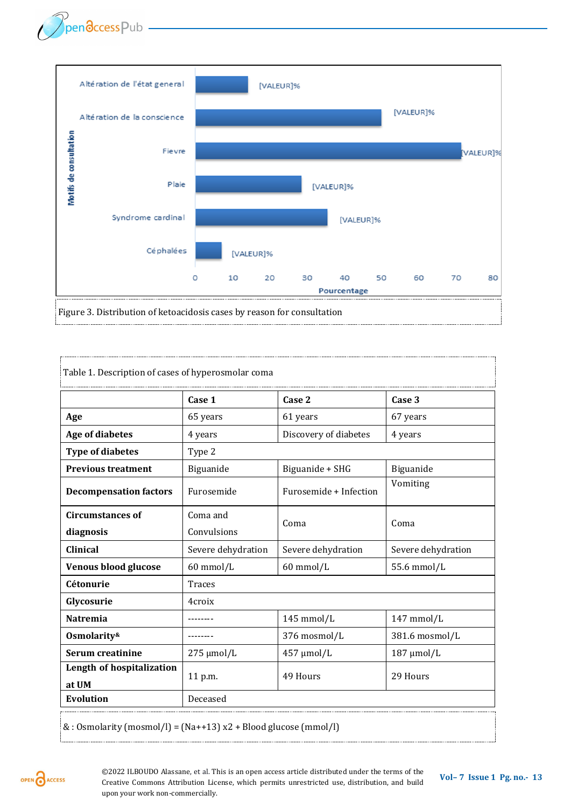

| Table 1. Description of cases of hyperosmolar coma |                    |                        |                    |
|----------------------------------------------------|--------------------|------------------------|--------------------|
|                                                    | Case 1             | Case 2                 | Case 3             |
| Age                                                | 65 years           | 61 years               | 67 years           |
| <b>Age of diabetes</b>                             | 4 years            | Discovery of diabetes  | 4 years            |
| <b>Type of diabetes</b>                            | Type 2             |                        |                    |
| <b>Previous treatment</b>                          | Biguanide          | Biguanide + SHG        | Biguanide          |
| <b>Decompensation factors</b>                      | Furosemide         | Furosemide + Infection | Vomiting           |
| <b>Circumstances of</b>                            | Coma and           | Coma                   | Coma               |
| diagnosis                                          | Convulsions        |                        |                    |
| <b>Clinical</b>                                    | Severe dehydration | Severe dehydration     | Severe dehydration |
| <b>Venous blood glucose</b>                        | 60 mmol/L          | 60 mmol/L              | 55.6 mmol/L        |
| Cétonurie                                          | <b>Traces</b>      |                        |                    |
| Glycosurie                                         | 4croix             |                        |                    |
| <b>Natremia</b>                                    |                    | $145$ mmol/L           | $147$ mmol/L       |
| Osmolarity&                                        |                    | 376 mosmol/L           | 381.6 mosmol/L     |
| Serum creatinine                                   | $275 \mu$ mol/L    | 457 µmol/L             | $187 \mu$ mol/L    |
| Length of hospitalization<br>at UM                 | 11 p.m.            | 49 Hours               | 29 Hours           |
| <b>Evolution</b>                                   | Deceased           |                        |                    |

 $\&$  : Osmolarity (mosmol/l) = (Na++13) x2 + Blood glucose (mmol/l)

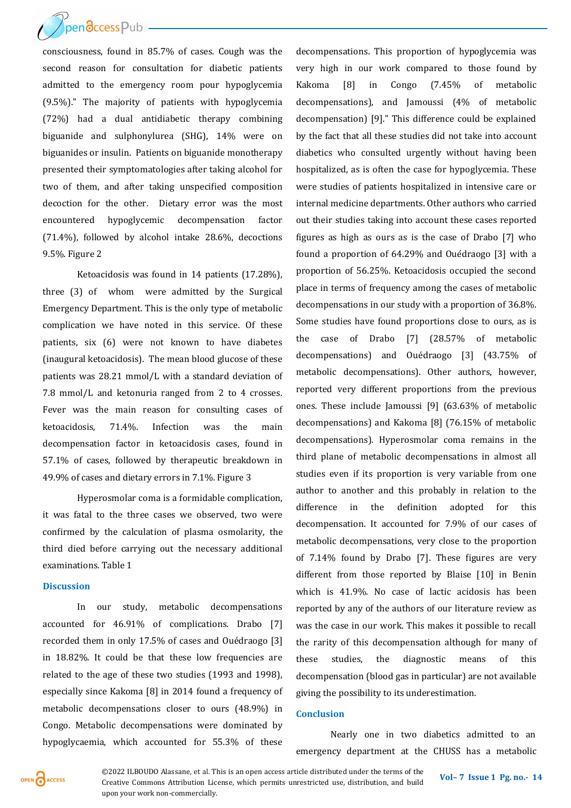**Dendccess**Pub

consciousness, found in 85.7% of cases. Cough was the second reason for consultation for diabetic patients admitted to the emergency room pour hypoglycemia (9.5%)." The majority of patients with hypoglycemia (72%) had a dual antidiabetic therapy combining biguanide and sulphonylurea (SHG), 14% were on biguanides or insulin. Patients on biguanide monotherapy presented their symptomatologies after taking alcohol for two of them, and after taking unspecified composition decoction for the other. Dietary error was the most encountered hypoglycemic decompensation factor (71.4%), followed by alcohol intake 28.6%, decoctions 9.5%. Figure 2

Ketoacidosis was found in 14 patients (17.28%), three (3) of whom were admitted by the Surgical Emergency Department. This is the only type of metabolic complication we have noted in this service. Of these patients, six (6) were not known to have diabetes (inaugural ketoacidosis). The mean blood glucose of these patients was 28.21 mmol/L with a standard deviation of 7.8 mmol/L and ketonuria ranged from 2 to 4 crosses. Fever was the main reason for consulting cases of ketoacidosis, 71.4%. Infection was the main decompensation factor in ketoacidosis cases, found in 57.1% of cases, followed by therapeutic breakdown in 49.9% of cases and dietary errors in 7.1%. Figure 3

Hyperosmolar coma is a formidable complication, it was fatal to the three cases we observed, two were confirmed by the calculation of plasma osmolarity, the third died before carrying out the necessary additional examinations. Table 1

#### **Discussion**

In our study, metabolic decompensations accounted for 46.91% of complications. Drabo [7] recorded them in only 17.5% of cases and Ouédraogo [3] in 18.82%. It could be that these low frequencies are related to the age of these two studies (1993 and 1998), especially since Kakoma [8] in 2014 found a frequency of metabolic decompensations closer to ours (48.9%) in Congo. Metabolic decompensations were dominated by hypoglycaemia, which accounted for 55.3% of these

decompensations. This proportion of hypoglycemia was very high in our work compared to those found by Kakoma [8] in Congo (7.45% of metabolic decompensations), and Jamoussi (4% of metabolic decompensation) [9]." This difference could be explained by the fact that all these studies did not take into account diabetics who consulted urgently without having been hospitalized, as is often the case for hypoglycemia. These were studies of patients hospitalized in intensive care or internal medicine departments. Other authors who carried out their studies taking into account these cases reported figures as high as ours as is the case of Drabo [7] who found a proportion of 64.29% and Ouédraogo [3] with a proportion of 56.25%. Ketoacidosis occupied the second place in terms of frequency among the cases of metabolic decompensations in our study with a proportion of 36.8%. Some studies have found proportions close to ours, as is the case of Drabo [7] (28.57% of metabolic decompensations) and Ouédraogo [3] (43.75% of metabolic decompensations). Other authors, however, reported very different proportions from the previous ones. These include Jamoussi [9] (63.63% of metabolic decompensations) and Kakoma [8] (76.15% of metabolic decompensations). Hyperosmolar coma remains in the third plane of metabolic decompensations in almost all studies even if its proportion is very variable from one author to another and this probably in relation to the difference in the definition adopted for this decompensation. It accounted for 7.9% of our cases of metabolic decompensations, very close to the proportion of 7.14% found by Drabo [7]. These figures are very different from those reported by Blaise [10] in Benin which is 41.9%. No case of lactic acidosis has been reported by any of the authors of our literature review as was the case in our work. This makes it possible to recall the rarity of this decompensation although for many of these studies, the diagnostic means of this decompensation (blood gas in particular) are not available giving the possibility to its underestimation.

#### **Conclusion**

Nearly one in two diabetics admitted to an emergency department at the CHUSS has a metabolic



**©2022 ILBOUDO Alassane, et al. This is an open access article distributed under the terms of the <b>Vol–** 7 **Issue 1 Pg. no.**- **14** Casatius Commany Attribution Lissue 2 interlation and build Creative Commons Attribution License, which permits unrestricted use, distribution, and build upon your work non-commercially.